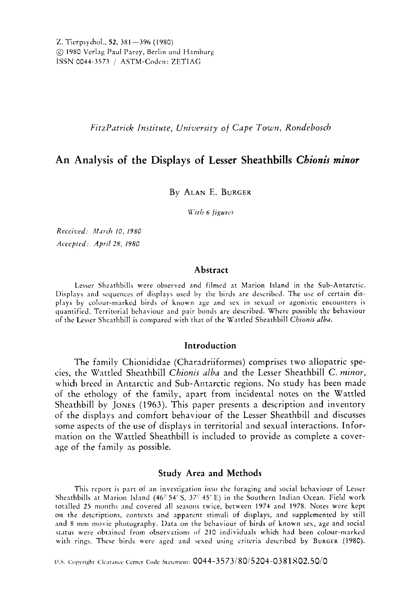*Fitzl'atrick Institute, University of Cape Town, Rondebosch* 

# **An Analysis of the Displays of Lesser Sheathbills** *Chionis minor*

### By ALAN E. BURGER

**W'ith** *6 figurcs* 

*Received: M51-117 10, 1980 Accepted: April* 28, *I980* 

# **Abstract**

Lesser Sheathbills were observed and filmed at Marion Island in the Sub-Antarctic. Displays and sequences of displays used by the birds are described. The use of certain displays by colour-marked birds of known age and sex in sexual or agonistic encounters **is**  quantified. Territorial behaviour and pair bonds are described. Where possible the behaviour of the Lcsser Sheathbill is compared with that of the Wattled Sheathbill *Chionis alba.* 

## **Introduction**

The family Chionididae (Charadriiformes) comprises two allopatric species, the Wattled Sheathbill *Chionis alba* and the Lesser Sheathbill C. *minor,*  which breed in Antarctic and Sub-Antarctic regions. No study has been made of the ethology of the family, apart from incidental notes on the Wattled Sheathbill by **JONES (1963).** This paper presents a description and inventory of the displays and comfort behaviour of the Lesser Sheathbill and discusses some aspects of the use of displays in territorial and sexual interactions. Information on the Wattled Sheathbill is included to provide as complete a coverage of the family as possible.

#### **Study Area and Methods**

This report is part of an investigation into the foraging and social behaviour of Lcsser Sheathbills at Marion Island (46<sup>°</sup> 54' S, 37<sup>°</sup> 45' E) in the Southern Indian Ocean. Field work totalled 25 months and covered all seasons twice, between 1974 and 1978. Notes were kept on the descriptions, contexts and apparcnr stimuli of displays, and supplemented by still **.ind 8** nini movie photography. Data on the bchaviour of birds of known sex, age and social status were obtained from observations of 210 individuals which had been colour-marked with rings. These birds were aged and wxed using criteria described by **BURGER (1980).** 

U.S. Copyright Clearance Center Code Statement: 0044-3573/80/5204-0381802.50/0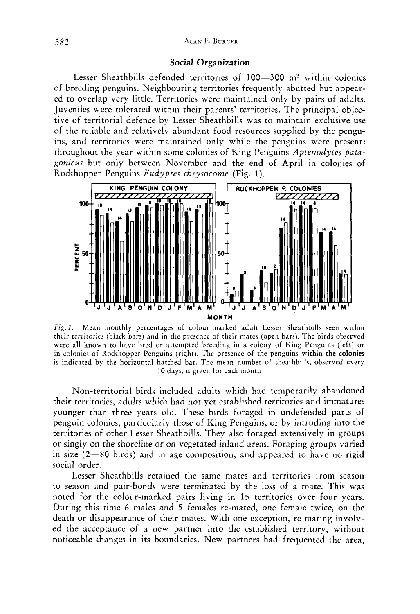### Social Organization

Lesser Sheathbills defended territories of 100-300 m<sup>2</sup> within colonies of breeding penguins. Neighbouring territories frequently abutted but appeared to overlap very little. Territories were maintained only by pairs of adults. Juveniles were tolerated within their parents' territories. The principal objective of territorial defence by Lesser Sheathbills was to maintain exclusive use of the reliable and relatively abundant food resources supplied by the penguins, and territories were maintained only while the penguins were present: throughout the year within some colonies of King Penguins *Aptenodytes patagonicus* but only between November and the end of April in colonies of Rockhopper Penguins *Eudyptes chrysocome* (Fig. I). ALAN E. BURGER<br>
Social Organization<br>
IF Sheathbills defended territories of 100—300 m<sup>2</sup> within colonies<br>
ralp very little. Territories were maintained only by pairs of adults.<br>
were tolerated within their parents' territo



*Fig. 1:* Mean monthly percentages of colour-marked adult Lesser Sheathbills seen within their territories (black bars) and in the presence of their mates (open bars). The birds observed were all known to have bred or attempted breeding in a colony of King Penguins (left) or in colonies of Rockhopper Penguins (right). The presence of the penguins within the colonies is indicated by the horizontal hatched bar. The mean number of sheathbills, observed every 10 days, is given for each month

Non-territorial birds included adults which had temporarily abandoned their territories, adults which had not yet established territories and immatures younger than three years old. These birds foraged in undefended parts of penguin colonies, particularly those of King Penguins, or by intruding into the territories of other Lesser Sheathbills. They also foraged extensively in groups or singly on the shoreline or on vegetated inland areas. Foraging groups varied in size (2-80 birds) and in age composition, and appeared to have no rigid social order.

Lesser Sheathbills retained the same mates and territories from season to season and pair-bonds were terminated by the loss of a mate. This was noted for the colour-marked pairs living in 15 territories over four years. During this time **6** males and 5 females re-mated, one female twice, on the death or disappearance of their mates. With one exception, re-mating involved the acceptance of a new partner into the established territory, without noticeable changes in its boundaries. New partners had frequented the area,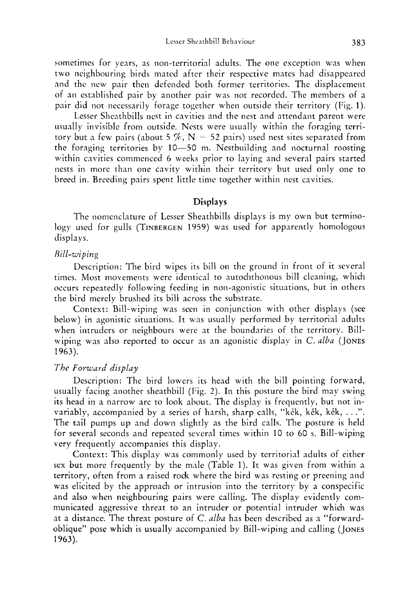sometimes for years, as non-territorial adults. The one exception was when two neighbouring birds mated after their respective mates had disappeared and the new pair then defended both former territories. The displacement of an established pair by another pair was not recorded. The members of a pair did not necessarily forage together when outside their territory (Fig. 1).

Lesser Sheathbills nest in cavities and the nest and attendant parent were usually invisible from outside. Nests were usually within the foraging territory but a few pairs (about 5  $\%$ , N = 52 pairs) used nest sites separated from the foraging territories by 10-50 m. Nestbuilding and nocturnal roosting within cavities commenced **6** weeks prior to laying and several pairs started nests in more than one cavity within their territory but used only one to breed in. Breeding pairs spent little time together within nest cavities.

## **Displays**

The nomenclature of Lesser Sheathbills displays is my own but terminology used for gulls (TINBERGEN 1959) was used for apparently homologous displays.

## *R i 1 I- w i p i n* <sup>g</sup>

Description: The bird wipes its bill on the ground in front of it several times. Most movements were identical to autochthonous bill cleaning, which occurs repeatedly following feeding in non-agonistic situations, but in others the bird merely brushed its bill across the substrate.

Context: Bill-wiping was seen in conjunction with other displays (see below) in agonistic situations. It was usually performed by territorial adults when intruders or neighbours were at the boundaries of the territory. Billwiping was also reported to occur as an agonistic display in C. *ulbu* (JONES 1963).

#### *The Forward displuy*

Description: The bird lowers its head with the bill pointing forward, usually facing another sheathbill (Fig. 2). In this posture the bird may swing its head in a narrow arc to look ahout. The display is frequently, but not invariably, accompanied by a series of harsh, sharp calls, "kék, kék, kék, . . .". The tail pumps up and down slightly as the bird calls. The posture is held  $\epsilon$ for several seconds and repeated several times within 10 to 60 s, Bill-wiping very frequently accompanies this display.

Context: This display was commonly used by territorial adults of either sex but more frequently by the male (Table 1). It was given from within a territory, often from a raised rock where the bird was resting or preening and was elicited by the approach or intrusion into the territory by a conspecific and also when neighbouring pairs were calling. The display evidently communicated aggressive threat to an intruder or potential intruder which was at a distance. The threat posture of C. *ulbu* has been described as a "forwardoblique" pose which is usually accompanied by Bill-wiping and calling ( JONES 1963).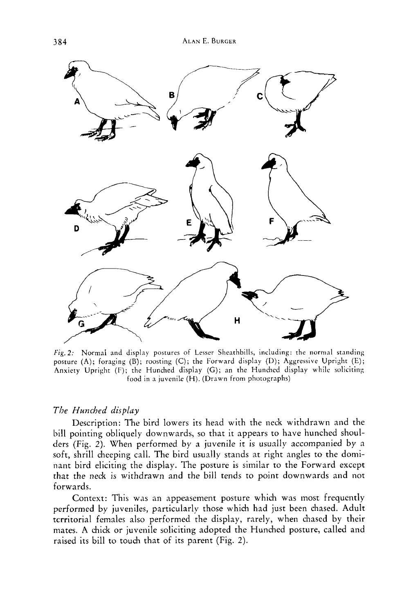

*Fig.* 2: Normal and display postures of Lesser Sheathbills, including: the normal standing posture **(A);** foraging (B); roosting (C); the Forward display (U); Aggressive Upright (E); Anxiety Upright (F); the Hunched display (G); an the Hunched display while soliciting food in a juvenile (H). (Drawn from photographs)

## *The Hunched display*

Description: The bird lowers its head with the neck withdrawn and the bill pointing obliquely downwards, so that it appears to have hunched shoulders (Fig. *2).* When performed by a juvenile it is usually accompanied by a soft, shrill cheeping call. The bird usually stands at right angles to the dominant bird eliciting the display. The posture is similar to the Forward except that the neck is withdrawn and the bill tends to point downwards and not forwards.

Context: This was an appeasement posture which was most frequently performed by juveniles, particularly those which had just been chased. Adult territorial females also performed the display, rarely, when chased by their mates. A chick or juvenile soliciting adopted the Hunched posture, called and raised its bill to touch that of its parent (Fig. *2).*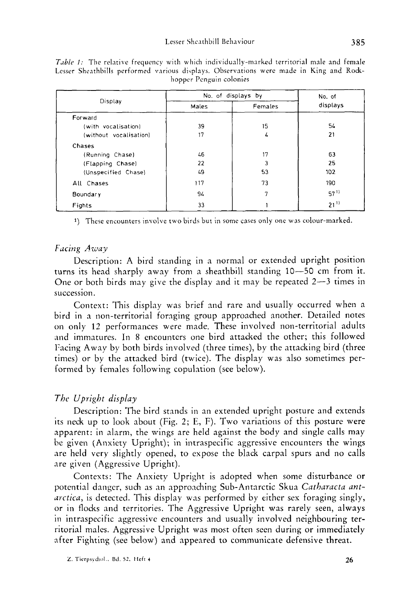|                        | No. of displays by | No. of  |                  |  |
|------------------------|--------------------|---------|------------------|--|
| Display                | Males              | Females | displays         |  |
| Forward                |                    |         |                  |  |
| (with vocalisation)    | 39                 | 15      | 54               |  |
| (without vocalisation) | 17                 | L       | 21               |  |
| Chases                 |                    |         |                  |  |
| (Running Chase)        | 46                 | 17      | 63               |  |
| (Flapping Chase)       | 22                 | 3       | 25               |  |
| (Unspecified Chase)    | 49                 | 53      | 102              |  |
| All Chases             | 117                | 73      | 190              |  |
| Boundary               | 94                 | 7       | 57 <sup>11</sup> |  |
| Fights                 | 33                 |         | $21^{11}$        |  |

*Table 1:* The relative frequency with which individually-marked territorial male and female Lesser Sheathbills performed various displays. Observations were made in King and Rockhoppcr Pcnguin colonies

**1)** These encounters involve two birds but in some cases only one was colour-marked.

## *Facing Away*

Description: A bird standing in a normal or extended upright position turns its head sharply away from a sheathbill standing 10-50 cm from it. One or both birds may give the display and it may be repeated *2-3* times in succession.

Context: This display was brief and rare and usually occurred when a bird in a non-territorial foraging group approached another. Detailed notes **on** only 12 performances were made. These involved non-territorial adults and immatures. In 8 encounters one bird attacked the other; this followed Facing Away by both birds involved (three times), by the attacking bird (three times) or by the attacked bird (twice). The display was also sometimes performed by females following copulation (see below).

# *The Upright display*

Description: The bird stands in an extended upright posture and extends its neck up to look about (Fig. *2;* E, F). Two variations of this posture were apparent: in alarm, the wings are held against the body and single calls may be given (Anxiety Upright); in intraspecific aggressive encounters the wings are held very slightly opened, to expose the black carpal spurs and no calls are given (Aggressive Upright).

Contexts: The Anxiety Upright is adopted when some disturbance or potential danger, such as an approaching Sub-Antarctic Skua *Catharacta antarctica,* is detected. This display was performed by either sex foraging singly, or in flocks and territories. The Aggressive Upright was rarely seen, always in intraspecific aggressive encounters and usually involved neighbouring territorial males. Aggressive Upright was most often seen during or immediately after Fighting (see below) and appeared to communicate defensive threat.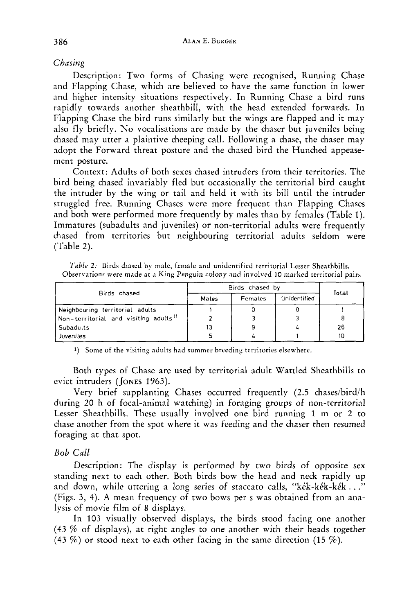## *Chasing*

Description: Two forms of Chasing were recognised, Running Chase and Flapping Chase, which are believed to have the same function in lower and higher intensity situations respectively. In Running Chase a bird runs rapidly towards another sheathbill, with the head extended forwards. In Flapping Chase the bird runs similarly but the wings are flapped and it may also fly briefly. No vocalisations are made by the chaser but juveniles being chased may utter a plaintive cheeping call. Following a chase, the chaser may adopt the Forward threat posture and the chased bird the Hunched appeasement posture.

Context: Adults of both sexes chased intruders from their territories. The bird being chased invariably fled but occasionally the territorial bird caught the intruder by the wing or tail and held it with its bill until the intruder struggled free. Running Chases were more frequent than Flapping Chases and both were performed more frequently by males than by females (Table 1). Immatures (subadults and juveniles) or non-territorial adults were frequently chased from territories but neighbouring territorial adults seldom were (Table *2).* 

|                                                   | Birds chased by | Total   |              |    |  |
|---------------------------------------------------|-----------------|---------|--------------|----|--|
| Birds chased                                      | Males           | Females | Unidentified |    |  |
| Neighbouring territorial adults                   |                 |         |              |    |  |
| Non-territorial and visiting adults <sup>1)</sup> |                 |         |              |    |  |
| Subadults                                         | 13              | ٩       |              | 26 |  |
| Juveniles                                         |                 |         |              | 10 |  |

*Table* **2:** Birds chased by male, female and unidentified territorial Lesser Sheathbills. Observations were made at a King Penguin colony and involved I0 marked territorial pairs

**1)** Some of the visiting adults had summer breeding territories elsewhere.

Both types of Chase are used by territorial adult Wattled Sheathbills to evict intruders (JONES 1963).

Very brief supplanting Chases occurred frequently (2.5 chases/bird/h during 20 h of focal-animal watching) in foraging groups of non-territorial Lesser Sheathbills. These usually involved one bird running 1 m or *2* to chase another from the spot where it was feeding and the chaser then resumed foraging at that spot.

## *Bob Call*

Description: The display is performed by two birds of opposite sex standing next to each other. Both birds bow the head and neck rapidly up and down, while uttering a long series of staccato calls, "kék-kék-kék..." (Figs. **3,** 4). **A** mean frequency of two bows per s was obtained from an analysis of movie film of **8** displays.

In 103 visually observed displays, the birds stood facing one another (43 % of displays), at right angles to one another with their heads together (43 *7%)* or stood next to each other facing in the same direction (15 %).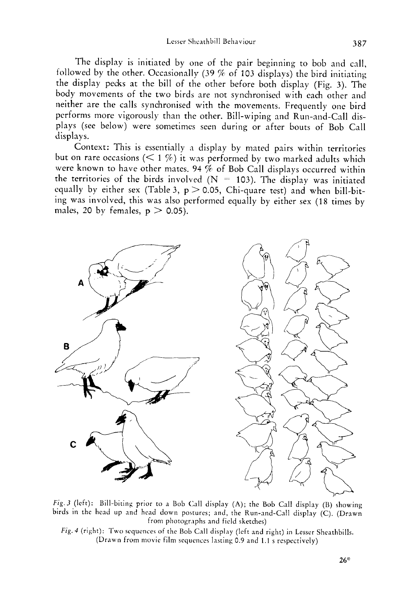Lesser Sheathbill Behaviour

The display is initiated by one of the pair beginning to bob and call, followed by the other. Occasionally (39 % of 103 displays) the bird initiating the display pecks at the bill of the other before both display (Fig. 3). The body movements of the two birds are not synchronised with each other and neither are the calls synchronised with the moverncnts. Frequently one bird pcrforms more vigorously than the other. Bill-wiping and Run-and-Call displays (see below) were sometimes seen during or after bouts of Bob Call displays.

Context: This is essentially a display by mated pairs within territories but on rare occasions ( $\leq 1\%$ ) it was performed by two marked adults which were known to have other mates. 94 % of Bob Call displays occurred within the territories of the birds involved ( $N = 103$ ). The display was initiated equally by either sex (Table 3,  $p > 0.05$ , Chi-quare test) and when bill-biting was involved, this was also performed equally by either sex (18 times by males, 20 by females,  $p > 0.05$ ).



*Fig. 3* (left): Bill-biting prior to a Bob Call display (A); the Bob Call display (B) showing birds in the head **up** and head down postures; and, the Run-and-Call display (C). (Drawn from photographs and field sketches)

Fig. 4 (right): Two sequences of the Bob Call display (left and right) in Lesser Sheathbills. (Drawn from movie film sequcnccs lasting 0.9 and 1.1 s respectively)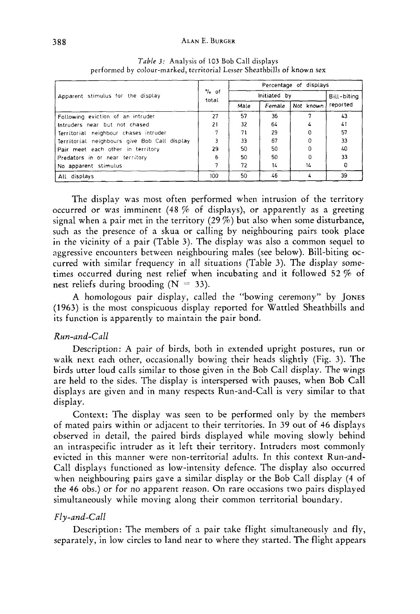#### **ALAN** E. **BURGER**

| Apparent stimulus for the display            | $\%$ of<br>total | Percentage of displays |             |           |          |  |  |
|----------------------------------------------|------------------|------------------------|-------------|-----------|----------|--|--|
|                                              |                  | Initiated by           | Bill-biting |           |          |  |  |
|                                              |                  | Male                   | Female      | Not known | reported |  |  |
| Following eviction of an intruder            | 27               | 57                     | 36          |           | 43       |  |  |
| Intruders near but not chased                | 21               | 32                     | 64          |           | 41       |  |  |
| Territorial neighbour chases intruder        |                  | 71                     | 29          |           | 57       |  |  |
| Territorial neighbours give Bob Call display |                  | 33                     | 67          |           | 33       |  |  |
| Pair meet each other in territory            | 29               | 50                     | 50          |           | 40       |  |  |
| Predators in or near territory               | 6                | 50                     | 50          |           | 33       |  |  |
| No apparent stimulus                         |                  | 72                     | 14          | 14        | 0        |  |  |
| All displays                                 | 100              | 50                     | 46          |           | 39       |  |  |

*Table 3:* Analysis of 103 Bob Call displays performed by colour-marked, territorial Lesser Sheathbills of **known sex** 

The display was most often performed when intrusion of the territory occurred or was imminent (48 % of displays), or apparently as a greeting signal when a pair met in the territory  $(29\%)$  but also when some disturbance, such as the presence of a **skua** or calling by neighbouring pairs took place in the vicinity of a pair (Table 3). The display was also a common sequel to aggressive encounters between neighbouring males (see below). Bill-biting occurred with similar frequency in all situations (Table *3).* The displav sometimes occurred during nest relief when incubating and it followed *52* % of nest reliefs during brooding  $(N = 33)$ .

A homologous pair display, called the "bowing ceremony" by JONES (1963) is the most conspicuous display reported for Wattled Sheathbills and its function is apparently to maintain the pair bond.

### *Run-and-Call*

Description: **A** pair of birds, both in extended upright postures, run or walk next each other, occasionally bowing their heads slightly (Fig. 3). The birds utter loud calls similar to those given in the Bob Call display. The wings are held to the sides. The display is interspersed with pauses, when Bob Call displays are given and in many respects Run-and-Call is very similar to that display.

Context: The display was seen to be performed only by the members of mated pairs within or adjacent to their territories. In 39 out of 46 displays observed in detail, the paired birds displayed while moving slowly behind an intraspecific intruder as it left their territory. Intruders most commonly evicted in this manner were non-territorial adults. In this context Run-and-Call displays functioned as low-intensity defence. The display also occurred when neighbouring pairs gave a similar display or the Bob Call display **(4** of the 46 obs.) or for no apparent reason. On rare occasions two pairs displayed simultaneously while moving along their common territorial boundary.

#### *Fly-and-Call*

Description: The members of a pair take flight simultaneously and fly, separately, in low circles to land near to where they started. The flight appears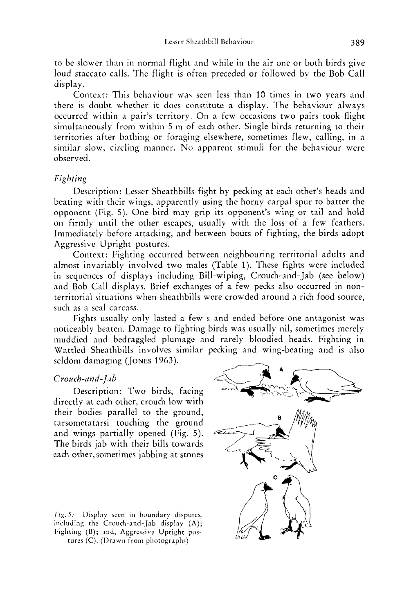to be slower than in normal flight and while in the air one or both birds give loud staccato calls. The flight is often preceded or followed by the Bob Call display.

Context: This behaviour was seen less than 10 times in two years and there is doubt whether it does constitute a display. The behaviour always occurred within a pair's territory. On a few occasions two pairs took flight simultaneously from within *5* m of each other. Single birds returning to their territories after bathing or foraging elsewhere, sometimes flew, calling, in a similar slow, circling manner. No apparent stimuli for the behaviour were observed.

### *Fighting*

Description: Lesser Sheathbills fight by pecking at each other's heads and beating with their wings, apparently using the horny carpal spur to batter the opponent (Fig. *5).* One bird may grip its opponent's wing or tail and hold on firmly until the other escapes, usually with the loss of a few feathers. Immediately before attacking, and between bouts of fighting, the birds adopt Aggressive Upright postures.

Context: Fighting occurred between neighbouring territorial adults and almost invariably involved two males (Table 1). These fights were included in sequences of displays including Bill-wiping, Crouch-and- Jab (see below) and Bob Call displays. Brief exchanges of a few pecks also occurred in nonterritorial situations when sheathbills were crowded around a rich food source, such as a seal carcass.

Fights usually only lasted a few s and ended before one antagonist was noticeably beaten. Damage to fighting birds was usually nil, sometimes merely muddied and bedraggled plumage and rarely bloodied heads. Fighting in Wattled Sheathbills involves similar pecking and wing-beating and is also seldom damaging (JONES 1963). Wattled Sheathbills involves similar pecking and wing-beating and is also

#### *Crouch-and- Jab* -+

Description: Two birds, facing directly at each other, crouch low with their bodies parallel to the ground, tarsometatarsi touching the ground and wings partially opened (Fig. *5).*  The birds jab with their bills towards each other, sometimes jabbing at stones

*Fig. 5:* Display seen in boundary disputes, including the Crouch-and-Jab display (A); Fighting (B); and, Aggressive Upright postures (C). (Drawn from photographs)

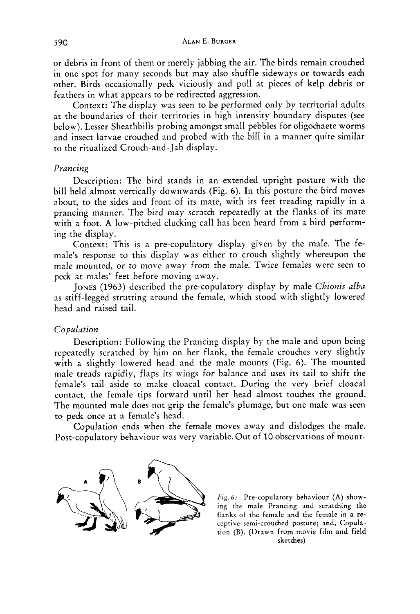or debris in front of them or merely jabbing the air. The birds remain crouched in one spot for many seconds but may also shuffle sideways or towards each other. Birds occasionally peck viciously and pull at pieces of kelp debris or feathers in what appears to be redirected aggression.

Context: The display was seen to be performed only by territorial adults at the boundaries of their territories in high intensity boundary disputes (see below). Lesser Sheathbills probing amongst small pebbles for oligochaete worms and insect larvae crouched and probed with the bill in a manner quite similar to the ritualized Crouch-and- Jab display.

#### *Prancing*

Description: The bird stands in an extended upright posture with the bill held almost vertically downwards (Fig. *6).* In this posture the bird moves about, to the sides and front of its mate, with its feet treading rapidly in a prancing manner. The bird may scratch repeatedly at the flanks of its mate with a foot. **A** low-pitched clucking call has been heard from a bird performing the display.

Context: This is a pre-copulatory display given by the male. The female's response to this display was either to crouch slightly whereupon the male mounted, or to move away from the male. Twice females were seen to peck at males' feet before moving away.

JONES (1963) described the pre-copulatory display by male *Chionis alba*  as stiff-legged strutting around the female, which stood with slightly lowered head and raised tail.

#### *Copulation*

Description: Following the Prancing display by the male and upon being repeatedly scratched by him on her flank, the female crouches very slightly with a slightly lowered head and the male mounts (Fig. **6).** The mounted male treads rapidly, flaps its wings for balance and uses its tail to shift the female's tail aside to make cloacal contact. During the very brief cloacal contact, the female tips forward until her head almost touches the ground. The mounted male does not grip the female's plumage, but one male was seen to peck once at a female's head.

Copulation ends when the female moves away and dislodges the male. Post-copulatory behaviour was very variable. Out of 10 observations of mount-



*Fig.* 6: Pre-copulatory behaviour **(A)** showing the male Prancing and scratching the flanks of the female and the female in a receptive semi-crouched posture; and, Copulation (B). (Drawn from movie film and field sketches)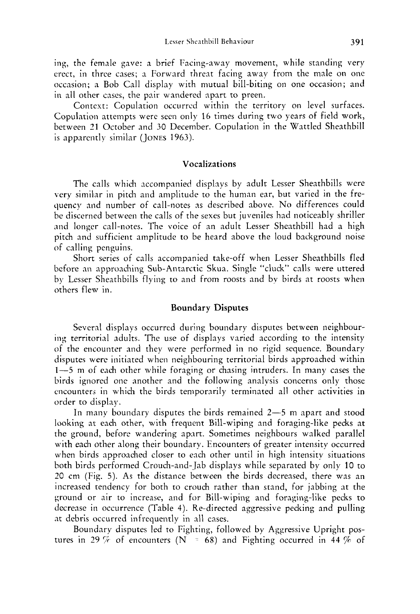ing, the female gave: a brief Facing-away movement, while standing very erect, in three cases; a Forward threat facing away from the male on one occasion; a Bob Call display with mutual bill-biting on one occasion; and in all other cases, the pair wandered apart to preen.

Context: Copulation occurred within the territory on level surfaces. Copulation attempts were seen only 16 times during two years of field work, between 31 October and 30 December. Copulation in the Wattled Sheathbill is apparently similar (Jones 1963).

## **Vocalizations**

The calls which accompanied displays by adult Lesser Sheathbills were very similar in pitch and amplitude to the human ear, but varied in the frequency and number of call-notes as described above. No differences could be discerned between the calls of the sexes but juveniles had noticeably shriller and longer call-notes. The voice of an adult Lesser Sheathbill had a high pitch and sufficient amplitude to be heard above the loud background noise of calling penguins.

Short series of calls accompanied take-off when Lesser Sheathbills fled before an approaching Sub-Antarctic Skua. Single "cluck" calls were uttered by Lesser Sheathbills flying to and from roosts and bv birds at roosts when others flew in.

#### **Boundary Disputes**

Several displays occurred during boundary disputes between neighbouring territorial adults. The use of displays varied according to the intensity of the encounter and they were performed in no rigid sequence. Boundary disputes were initiated when neighbouring territorial birds approached within 1-5 m of each other while foraging or chasing intruders. In many cases the birds ignored one another and the following analysis concerns only those encounters in which the birds temporarily terminated all other activities in order to display.

In many boundary disputes the birds remained  $2-5$  m apart and stood looking at each other, with frequent Bill-wiping and foraging-like pecks at the ground, before wandering apart. Sometimes neighbours walked parallel with each other along their boundary. Encounters of greater intensity occurred when birds approached closer to each other until in high intensity situations both birds performed Crouch-and-Jab displays while separated by only 10 to 20 cm (Fig. 5). As the distance between the birds decreased, there was an increased tendency for both to crouch rather than stand, for jabbing at the ground or air to increase, and for Bill-wiping and foraging-like pecks to decrease in occurrence (Table 4). Re-directed aggressive pecking and pulling at debris occurred infrequently in all cases.

Boundary disputes led to Fighting, followed by Aggressive Upright postures in 29  $\%$  of encounters (N  $=$  68) and Fighting occurred in 44  $\%$  of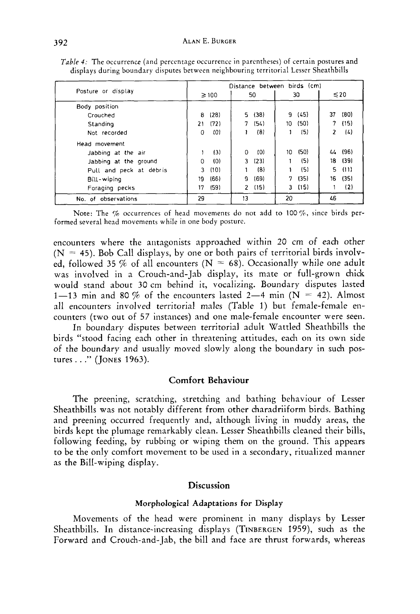| Posture or display      |     | Distance between birds (cm) |               |      |     |       |    |           |
|-------------------------|-----|-----------------------------|---------------|------|-----|-------|----|-----------|
|                         |     | $\geq 100$                  |               | 50   |     | 30    |    | $\leq 20$ |
| Body position           |     |                             |               |      |     |       |    |           |
| Crouched                | 8   | (28)                        | 5.            | (38) |     | 9(45) | 37 | (80)      |
| Standing                | 21  | (72)                        | 7             | (54) | 10. | (50)  | 7  | (15)      |
| Not recorded            | 0   | (0)                         |               | (8)  |     | (5)   | 2  | (4)       |
| Head movement           |     |                             |               |      |     |       |    |           |
| Jabbing at the air      |     | (3)                         | 0             | (0)  | 10  | (50)  | 44 | (96)      |
| Jabbing at the ground   | 0   | (0)                         | 3.            | (23) |     | (5)   | 18 | (39)      |
| Pull and peck at debris | 3   | (10)                        |               | (8)  |     | (5)   | 5  | -011      |
| Bill-wiping             | 19. | (66)                        | 9             | (69) | 7.  | (35)  | 16 | (35)      |
| Foraging pecks          | 17  | (59)                        | $\mathcal{P}$ | (15) | 3   | (15)  |    | (2)       |
| No. of observations     | 29  |                             | 13            |      | 20  |       | 46 |           |

*Table 4:* The occurrence (and percentage occurrence in parentheses) of certain postures and displays during boundary disputes between neighbouring territorial Lesser Sheathbills

Note: The  $%$  occurrences of head movements do not add to 100 $%$ , since birds performed several head movements while in one body posture.

encounters where the antagonists approached within 20 cm of each other  $(N = 45)$ . Bob Call displays, by one or both pairs of territorial birds involved, followed 35 % of all encounters ( $N = 68$ ). Occasionally while one adult was involved in a Crouch-and-Jab display, its mate or full-grown chick would stand about 30 cm behind it, vocalizing. Boundary disputes lasted 1-13 min and 80 % of the encounters lasted 2-4 min ( $N = 42$ ). Almost all encounters involved territorial males (Table 1) but female-female encounters (two out of 57 instances) and one male-female encounter were seen.

In boundary disputes between territorial adult Wattled Sheathbills the birds "stood facing each other in threatening attitudes, each on its own side of the boundary and usually moved slowly along the boundary in such postures. . ." **(JONES** 1963).

# **Comfort Behaviour**

The preening, scratching, stretching and bathing behaviour of Lesser Sheathbills was not notably different from other charadriiform birds. Bathing and preening occurred frequently and, although living in muddy areas, the birds kept the plumage remarkably clean. Lesser Sheathbills cleaned their bills, following feeding, by rubbing or wiping them on the ground. This appears to be the only comfort movement to be used in a secondary, ritualized manner as the Bill-wiping display.

# **Discussion**

# **Morphological Adaptations for Display**

Movements of the head were prominent in many displays by Lesser Sheathbills. In distance-increasing displays (TINBERGEN 1959), such as the Forward and Crouch-and-Jab, the bill and face are thrust forwards, whereas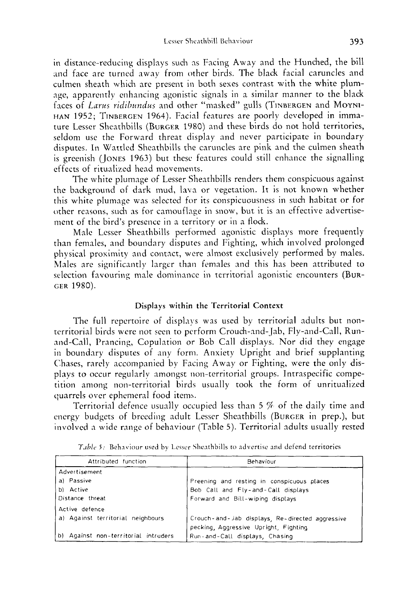in distance-reducing displays such as Facing Away and the Hunched, the bill and face are turned away from other birds. The black facial caruncles and culmen sheath which are present in both sexes contrast with the white plumage, apparently enhancing agonistic signals in a similar manner to the black faces of *Lurus ridihndus* and other "masked" gulls (TINBERGEN and **MOYNI-HAN** 1952; TINBERGEN 1964). Facial features are poorly developed in immature Lesser Sheathbills (BURGER 1980) and these birds do not hold territories, seldom use the Forward threat display and never participate in boundary disputes. In Wattled Sheathbills the caruncles are pink and the culmen sheath is greenish (JONES 1963) but these features could still enhance the signalling effects of ritualized head movements.

The white plumage of Lesser Sheathbills renders them conspicuous against the background of dark mud, lava or vegetation. It is not **known** whether this white plumage was selected for its conspicuousness in such habitat or for other reasons, such as for camouflage in snow, but it is an effective advertisement of the bird's presence in a territory or in a flock.

Male Lesser Sheathbills performed agonistic displays more frequently than females, and boundary disputes and Fighting, which involved prolonged physical proximity and contact, were nlmost exclusively performed by males. Males are significantly larger than females and this has been attributed to selection favouring male dominance in territorial agonistic encounters (BUR-GER 1980).

### **Displays** within the Territorial Context

The full repertoire of displays was used by territorial adults but nontcrritorial birds were not seen to perform Crouch-and-Jab, Fly-and-Call, Runand-Call, Prancing, Copulation or Bob Call displays. Nor did they engage in boundary disputes of any form. Anxiety Upright and brief supplanting Chases, rarely accompanied by Facing Away or Fighting, were the only displays to occur regularly amongst non-territorial groups. Intraspecific competition among non-territorial birds usually took the form of unritualized quarrels over ephemeral food itemb.

Territorial defence usually occupied less than 5 % of the daily time and energy budgets of breeding adult Lesser Sheathbills (BURGER in prep.), but involved a wide range of behaviour (Table 5). Territorial adults usually rested

| Attributed function                  | Behaviour                                                                                |  |  |  |  |
|--------------------------------------|------------------------------------------------------------------------------------------|--|--|--|--|
| Advertisement                        |                                                                                          |  |  |  |  |
| a) Passive                           | Preening and resting in conspicuous places                                               |  |  |  |  |
| b) Active                            | Bob Call and Fly-and-Call displays                                                       |  |  |  |  |
| Distance threat                      | Forward and Bill-wiping displays                                                         |  |  |  |  |
| Active defence                       |                                                                                          |  |  |  |  |
| a) Against territorial neighbours    | Crouch-and-Jab displays, Re-directed aggressive<br>pecking, Aggressive Upright, Fighting |  |  |  |  |
| b) Against non-territorial intruders | Run-and-Call displays, Chasing                                                           |  |  |  |  |

Table 5: Behaviour used by Lesser Sheathbills to advertise and defend territories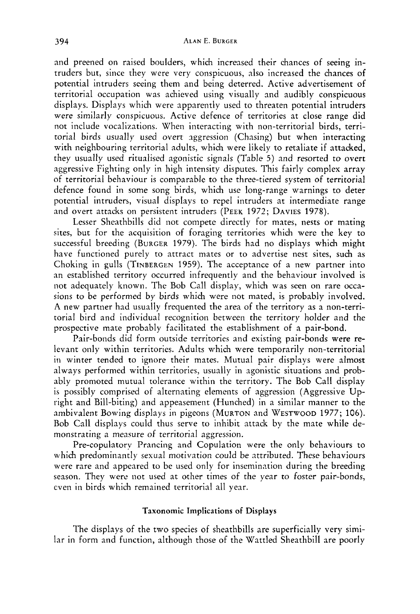and preened on raised boulders, which increased their chances of seeing intruders but, since they were very conspicuous, also increased the chances of potential intruders seeing them and being deterred. Active advertisement of territorial occupation was achieved using visually and audibly conspicuous displays. Displays which were apparently used to threaten potential intruders were similarly conspicuous. Active defence of territories at close range did not include vocalizations. When interacting with non-territorial birds, territorial birds usually used overt aggression (Chasing) but when interacting with neighbouring territorial adults, which were likely to retaliate if attacked, they usually used ritualised agonistic signals (Table 5) and resorted to overt aggressive Fighting only in high intensity disputes. This fairly complex array of territorial behaviour is comparable to the three-tiered system of territorial defence found in some song birds, which use long-range warnings to deter potential intruders, visual displays to repel intruders at intermediate range and overt attacks on persistent intruders (PEEK 1972; DAVIES 1978).

Lesser Sheathbills did not compete directly for mates, nests or mating sites, but for the acquisition of foraging territories which were the key to successful breeding (BURGER 1979). The birds had no displays which might have functioned purely to attract mates or to advertise nest sites, such as Choking in gulls (TINBERGEN 1959). The acceptance of a new partner into an established territory occurred infrequently and the behaviour involved is not adequately known. The Bob Call display, which was seen on rare occasions to be performed by birds which were not mated, is probably involved. **A** new partner had usually frequented the area of the territory as a non-territorial bird and individual recognition between the territory holder and the prospective mate probably facilitated the establishment of a pair-bond.

Pair-bonds did form outside territories and existing pair-bonds were relevant only within territories. Adults which were temporarily non-territorial in winter tended to ignore their mates. Mutual pair displays were almost always performed within territories, usually in agonistic situations and probably promoted mutual tolerance within the territory. The Bob Call display is possibly comprised of alternating elements of aggression (Aggressive Upright and Bill-biting) and appeasement (Hunched) in a similar manner to the ambivalent Bowing displays in pigeons (MURTON and WESTWOOD 1977; 106). Bob Call displays could thus serve to inhibit attack by the mate while demonstrating a measure of territorial aggression.

Pre-copulatory Prancing and Copulation were the only behaviours to which predominantly sexual motivation could be attributed. These behaviours were rare and appeared to be used only for insemination during the breeding season. They were not used at other times of the year to foster pair-bonds, even in birds which remained territorial all year.

### Taxonomic Implications **of** Displays

The displays of the two species of sheathbills are superficially very similar in form and function, although those of the Wattled Sheathbill are poorly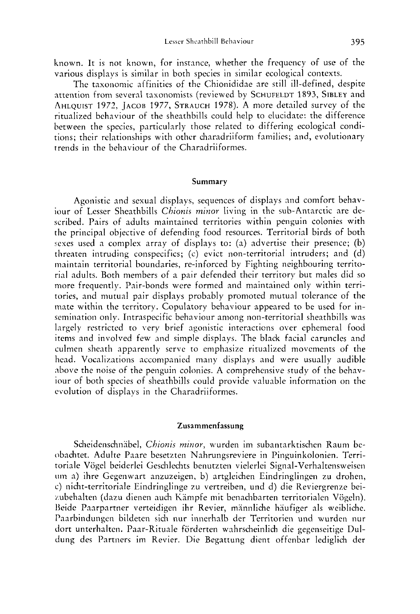known. It is not known, for instance, whether the frequency of use of the various displays is similar in both species in similar ecological contexts.

The taxonomic affinities of the Chionididae are still ill-defined, despite attention from several taxonomists (reviewed by **SCHUFELDT** 1893, **SIBLEY** and **AHLQUIST** 1972, **JACOB 1977, STRAUCH 1978).** A more detailed survey of the ritualized behaviour of the sheathbills could help to elucidate: the difference between the species, particularly those related to differing ecological conditions; their relationships with othcr charadriiform families; and, evolutionary trends in the behaviour of the Charadriiformes.

#### **Summary**

Agonistic and sexual displays, sequences of displays and comfort behaviour of Lesser Sheathbills *Chionis minor* living in the sub- Antarctic are described. Pairs of adults maintained territories within penguin colonies with the principal objective of defending food resources. Territorial birds of both sexes used a complex array of displays to: (a) advertise their presence; (b) threaten intruding conspecifics; (c) evict non-territorial intruders; and (d) maintain territorial boundaries, re-inforced by Fighting neighbouring territorial adults. Both members of a pair defended their territory but males did so more frequently. Pair-bonds were formed and maintained only within territories, and mutual pair displays probably promoted mutual tolerance of the mate within the territory. Copulatory behaviour appeared to be used for insemination only. Intraspecific behaviour among non-territorial sheathbills was largely restricted to very brief agonistic interactions over ephemeral food items and involved few and simple displays. The black facial caruncles and culmen sheath apparently serve to emphasize ritualized movements of the head. Vocalizations accompanied many displays and were usually audible above the noise of the penguin colonies. A comprehensive study of the behaviour of both species of sheathbills could provide valuable information on the evolution of displays in the Charadriiformes.

#### **Zusammenfassung**

Scheidenschnäbel, *Chionis minor*, wurden im subantarktischen Raum beobachtet. Adulte Paare besetzten Nahrungsreviere in Pinguinkolonien. Territoriale Vögel beiderlei Geschlechts benutzten vielerlei Signal-Verhaltensweisen **tiin** a) ihre Gegeiiwart anzuzeigen, b) artgleichen Eindringlingen zu drohen, c) nicht-territoriale Eindringlinge **711** vertreiben, und d) die Reviergrenze beizubehalten (dazu dienen auch Kämpfe mit benachbarten territorialen Vögeln). Beide Paarpartner verteidigen ihr Revier, männliche häufiger als weibliche. Paarbindungen bildeten sich nur innerhalb der Territorien und wurden nur dort unterhalten. Paar-Ritunle forderten wahrscheinlich die gegenseitige Duldung des Partners im Revier. Die Begattung dient offenbar lediglich der